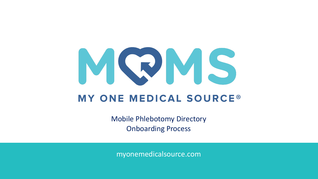

## **MY ONE MEDICAL SOURCE®**

Mobile Phlebotomy Directory Onboarding Process

myonemedicalsource.com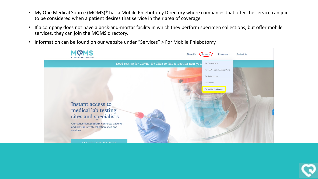- My One Medical Source (MOMS)® has a Mobile Phlebotomy Directory where companies that offer the service can join to be considered when a patient desires that service in their area of coverage.
- If a company does not have a brick-and-mortar facility in which they perform specimen collections, but offer mobile services, they can join the MOMS directory.
- Information can be found on our website under "Services" > For Mobile Phlebotomy.



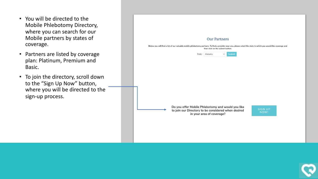- You will be directed to the Mobile Phlebotomy Directory, where you can search for our Mobile partners by states of coverage.
- Partners are listed by coverage plan: Platinum, Premium and Basic.
- To join the directory, scroll down to the "Sign Up Now" button, where you will be directed to the sign-up process.

| <b>Our Partners</b><br>Below you will find a list of our valuable mobile phlebotomy partners. To find a provider near you, please select the state in which you would like coverage and<br>then click on the submit button.<br>State: Alabama<br>Submit<br>$\checkmark$ |
|-------------------------------------------------------------------------------------------------------------------------------------------------------------------------------------------------------------------------------------------------------------------------|
| Do you offer Mobile Phlebotomy and would you like<br><b>SIGN UP</b><br>to join our Directory to be considered when desired<br>NOW!<br>in your area of coverage?                                                                                                         |

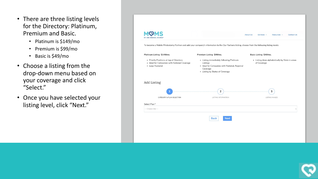- There are three listing levels for the Directory: Platinum, Premium and Basic.
	- Platinum is \$149/mo
	- Premium is \$99/mo
	- Basic is \$49/mo
- Choose a listing from the drop-down menu based on your coverage and click "Select."
- Once you have selected your listing level, click "Next."



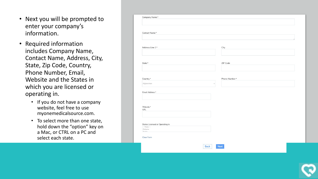- Next you will be prompted to enter your company's information.
- Required information includes Company Name, Contact Name, Address, City, State, Zip Code, Country, Phone Number, Email, Website and the States in which you are licensed or operating in.
	- If you do not have a company website, feel free to use myonemedicalsource.com.
	- To select more than one state, hold down the "option" key on a Mac, or CTRL on a PC and select each state.

| Contact Name*                   |                               |  |
|---------------------------------|-------------------------------|--|
|                                 |                               |  |
| Address Line 1*                 | City                          |  |
|                                 |                               |  |
| State*                          | ZIP Code                      |  |
|                                 |                               |  |
|                                 |                               |  |
| Country*<br>Afghanistan         | Phone Number*<br>$\checkmark$ |  |
|                                 |                               |  |
| Email Address*                  |                               |  |
|                                 |                               |  |
| Website*<br>URL                 |                               |  |
|                                 |                               |  |
| States Licensed or Operating in |                               |  |
| $-$ None $-$<br>Alabama         |                               |  |
| Alacka                          |                               |  |

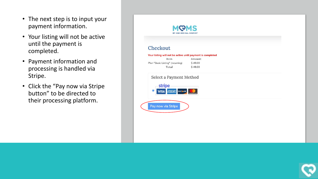- The next step is to input your payment information.
- Your listing will not be active until the payment is completed.
- Payment information and processing is handled via Stripe.
- Click the "Pay now via Stripe button" to be directed to their processing platform.



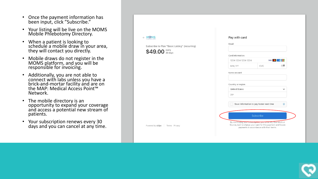- Once the payment information has been input, click "Subscribe."
- Your listing will be live on the MOMS Mobile Phlebotomy Directory.
- When a patient is looking to schedule a mobile draw in your area, they will contact you directly.
- Mobile draws do not register in the MOMS platform, and you will be responsible for invoicing.
- Additionally, you are not able to connect with labs unless you have a brick-and-mortar facility and are on the MAP: Medical Access Point<sup>™</sup> Network.
- The mobile directory is an opportunity to expand your coverage and access a potential new stream of patients.
- Your subscription renews every 30 days and you can cancel at any time.